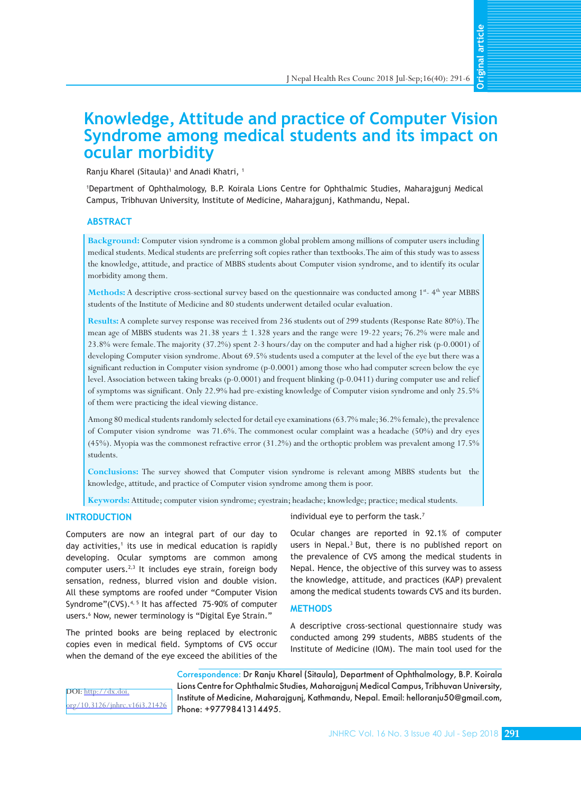**Original article** 

# **Knowledge, Attitude and practice of Computer Vision Syndrome among medical students and its impact on ocular morbidity**

Ranju Kharel (Sitaula)<sup>1</sup> and Anadi Khatri, <sup>1</sup>

1 Department of Ophthalmology, B.P. Koirala Lions Centre for Ophthalmic Studies, Maharajgunj Medical Campus, Tribhuvan University, Institute of Medicine, Maharajgunj, Kathmandu, Nepal.

# **ABSTRACT**

**Background:** Computer vision syndrome is a common global problem among millions of computer users including medical students. Medical students are preferring soft copies rather than textbooks. The aim of this study was to assess the knowledge, attitude, and practice of MBBS students about Computer vision syndrome, and to identify its ocular morbidity among them.

**Methods:** A descriptive cross-sectional survey based on the questionnaire was conducted among 1<sup>st</sup>- 4<sup>th</sup> year MBBS students of the Institute of Medicine and 80 students underwent detailed ocular evaluation.

**Results:** A complete survey response was received from 236 students out of 299 students (Response Rate 80%). The mean age of MBBS students was  $21.38$  years  $\pm 1.328$  years and the range were 19-22 years; 76.2% were male and 23.8% were female. The majority (37.2%) spent 2-3 hours/day on the computer and had a higher risk (p-0.0001) of developing Computer vision syndrome. About 69.5% students used a computer at the level of the eye but there was a significant reduction in Computer vision syndrome (p-0.0001) among those who had computer screen below the eye level. Association between taking breaks (p-0.0001) and frequent blinking (p-0.0411) during computer use and relief of symptoms was significant. Only 22.9% had pre-existing knowledge of Computer vision syndrome and only 25.5% of them were practicing the ideal viewing distance.

Among 80 medical students randomly selected for detail eye examinations (63.7% male;36.2% female), the prevalence of Computer vision syndrome was 71.6%. The commonest ocular complaint was a headache (50%) and dry eyes (45%). Myopia was the commonest refractive error (31.2%) and the orthoptic problem was prevalent among 17.5% students.

**Conclusions:** The survey showed that Computer vision syndrome is relevant among MBBS students but the knowledge, attitude, and practice of Computer vision syndrome among them is poor.

**Keywords:** Attitude; computer vision syndrome; eyestrain; headache; knowledge; practice; medical students.

## **INTRODUCTION**

Computers are now an integral part of our day to day activities,<sup>1</sup> its use in medical education is rapidly developing. Ocular symptoms are common among computer users.<sup>2,3</sup> It includes eye strain, foreign body sensation, redness, blurred vision and double vision. All these symptoms are roofed under "Computer Vision Syndrome"(CVS). $4, 5$  It has affected 75-90% of computer users.6 Now, newer terminology is "Digital Eye Strain."

The printed books are being replaced by electronic copies even in medical field. Symptoms of CVS occur when the demand of the eye exceed the abilities of the

individual eye to perform the task.<sup>7</sup>

Ocular changes are reported in 92.1% of computer users in Nepal.<sup>3</sup> But, there is no published report on the prevalence of CVS among the medical students in Nepal. Hence, the objective of this survey was to assess the knowledge, attitude, and practices (KAP) prevalent among the medical students towards CVS and its burden.

# **METHODS**

A descriptive cross-sectional questionnaire study was conducted among 299 students, MBBS students of the Institute of Medicine (IOM). The main tool used for the

DOI: [http://dx.doi.](http://dx.doi.org/10.3126/jnhrc.v16i3.21426) [org/10.3126/jnhrc.v16i3.21426](http://dx.doi.org/10.3126/jnhrc.v16i3.21426) Correspondence: Dr Ranju Kharel (Sitaula), Department of Ophthalmology, B.P. Koirala Lions Centre for Ophthalmic Studies, Maharajgunj Medical Campus, Tribhuvan University, Institute of Medicine, Maharajgunj, Kathmandu, Nepal. Email: helloranju50@gmail.com, Phone: +9779841314495.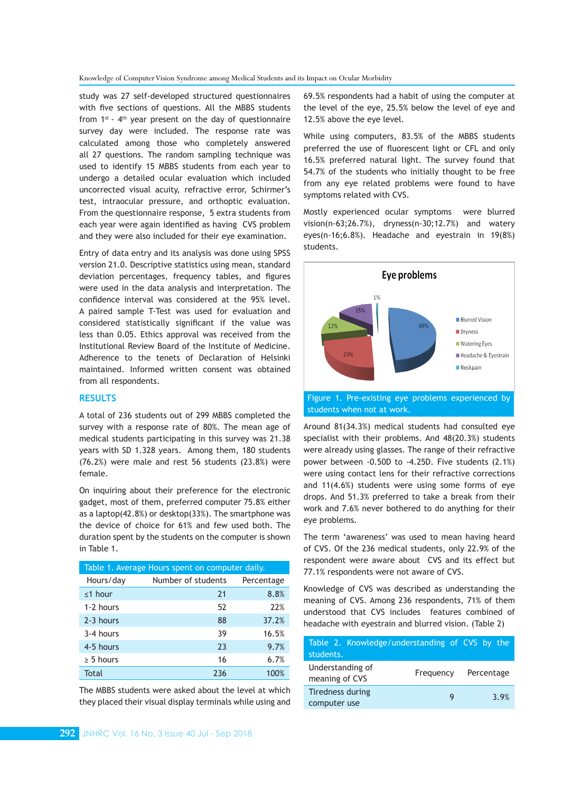Knowledge of Computer Vision Syndrome among Medical Students and its Impact on Ocular Morbidity

study was 27 self-developed structured questionnaires with five sections of questions. All the MBBS students from  $1^{st}$  -  $4^{th}$  year present on the day of questionnaire survey day were included. The response rate was calculated among those who completely answered all 27 questions. The random sampling technique was used to identify 15 MBBS students from each year to undergo a detailed ocular evaluation which included uncorrected visual acuity, refractive error, Schirmer's test, intraocular pressure, and orthoptic evaluation. From the questionnaire response, 5 extra students from each year were again identified as having CVS problem and they were also included for their eye examination.

Entry of data entry and its analysis was done using SPSS version 21.0. Descriptive statistics using mean, standard deviation percentages, frequency tables, and figures were used in the data analysis and interpretation. The confidence interval was considered at the 95% level. A paired sample T-Test was used for evaluation and considered statistically significant if the value was less than 0.05. Ethics approval was received from the Institutional Review Board of the Institute of Medicine. Adherence to the tenets of Declaration of Helsinki maintained. Informed written consent was obtained from all respondents.

### **RESULTS**

A total of 236 students out of 299 MBBS completed the survey with a response rate of 80%. The mean age of medical students participating in this survey was 21.38 years with SD 1.328 years. Among them, 180 students (76.2%) were male and rest 56 students (23.8%) were female.

On inquiring about their preference for the electronic gadget, most of them, preferred computer 75.8% either as a laptop(42.8%) or desktop(33%). The smartphone was the device of choice for 61% and few used both. The duration spent by the students on the computer is shown in Table 1.

| Table 1. Average Hours spent on computer daily. |                    |            |  |
|-------------------------------------------------|--------------------|------------|--|
| Hours/day                                       | Number of students | Percentage |  |
| $\leq$ 1 hour                                   | 21                 | 8.8%       |  |
| 1-2 hours                                       | 52                 | 22%        |  |
| 2-3 hours                                       | 88                 | 37.2%      |  |
| 3-4 hours                                       | 39                 | 16.5%      |  |
| 4-5 hours                                       | 23                 | 9.7%       |  |
| $\geq$ 5 hours                                  | 16                 | 6.7%       |  |
| Total                                           | 236                | 100%       |  |

The MBBS students were asked about the level at which they placed their visual display terminals while using and

69.5% respondents had a habit of using the computer at the level of the eye, 25.5% below the level of eye and 12.5% above the eye level.

While using computers, 83.5% of the MBBS students preferred the use of fluorescent light or CFL and only 16.5% preferred natural light. The survey found that 54.7% of the students who initially thought to be free from any eye related problems were found to have symptoms related with CVS.

Mostly experienced ocular symptoms were blurred vision(n-63;26.7%), dryness(n-30;12.7%) and watery eyes(n-16;6.8%). Headache and eyestrain in 19(8%) students.



Around 81(34.3%) medical students had consulted eye specialist with their problems. And 48(20.3%) students were already using glasses. The range of their refractive power between -0.50D to -4.25D. Five students (2.1%) were using contact lens for their refractive corrections and 11(4.6%) students were using some forms of eye drops. And 51.3% preferred to take a break from their work and 7.6% never bothered to do anything for their eye problems.

The term 'awareness' was used to mean having heard of CVS. Of the 236 medical students, only 22.9% of the respondent were aware about CVS and its effect but 77.1% respondents were not aware of CVS.

Knowledge of CVS was described as understanding the meaning of CVS. Among 236 respondents, 71% of them understood that CVS includes features combined of headache with eyestrain and blurred vision. (Table 2)

| Table 2. Knowledge/understanding of CVS by the |           |            |
|------------------------------------------------|-----------|------------|
| students.                                      |           |            |
| Understanding of<br>meaning of CVS             | Frequency | Percentage |
| Tiredness during<br>computer use               | Q         | 3.9%       |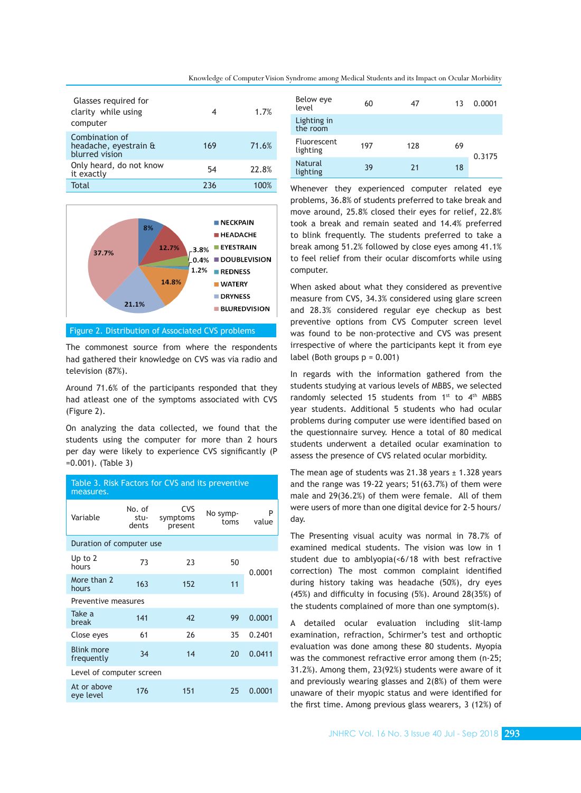| Glasses required for<br>clarity while using<br>computer   | 4   | 1.7%  |
|-----------------------------------------------------------|-----|-------|
| Combination of<br>headache, eyestrain &<br>blurred vision | 169 | 71.6% |
| Only heard, do not know<br>it exactly                     | 54  | 22.8% |
| Total                                                     | 236 |       |



### Figure 2. Distribution of Associated CVS problems

The commonest source from where the respondents had gathered their knowledge on CVS was via radio and television (87%).

Around 71.6% of the participants responded that they had atleast one of the symptoms associated with CVS (Figure 2).

On analyzing the data collected, we found that the students using the computer for more than 2 hours per day were likely to experience CVS significantly (P =0.001). (Table 3)

| Table 3. Risk Factors for CVS and its preventive<br>measures. |                         |                                   |                  |            |
|---------------------------------------------------------------|-------------------------|-----------------------------------|------------------|------------|
| Variable                                                      | No. of<br>stu-<br>dents | <b>CVS</b><br>symptoms<br>present | No symp-<br>toms | P<br>value |
| Duration of computer use                                      |                         |                                   |                  |            |
| Up to 2<br>hours                                              | 73                      | 23                                | 50               | 0.0001     |
| More than 2<br>hours                                          | 163                     | 152                               | 11               |            |
| Preventive measures                                           |                         |                                   |                  |            |
| Take a<br>break                                               | 141                     | 42                                | 99               | 0.0001     |
| Close eyes                                                    | 61                      | 26                                | 35               | 0.2401     |
| <b>Blink more</b><br>frequently                               | 34                      | 14                                | 20               | 0.0411     |
| Level of computer screen                                      |                         |                                   |                  |            |
| At or above<br>eye level                                      | 176                     | 151                               | 25               | 0.0001     |
|                                                               |                         |                                   |                  |            |

| Below eye<br>level             | 60  | 47  | 13 | 0.0001 |
|--------------------------------|-----|-----|----|--------|
| Lighting in<br>the room        |     |     |    |        |
| <b>Fluorescent</b><br>lighting | 197 | 128 | 69 | 0.3175 |
| <b>Natural</b><br>lighting     | 39  | 21  | 18 |        |

Whenever they experienced computer related eye problems, 36.8% of students preferred to take break and move around, 25.8% closed their eyes for relief, 22.8% took a break and remain seated and 14.4% preferred to blink frequently. The students preferred to take a break among 51.2% followed by close eyes among 41.1% to feel relief from their ocular discomforts while using computer.

When asked about what they considered as preventive measure from CVS, 34.3% considered using glare screen and 28.3% considered regular eye checkup as best preventive options from CVS Computer screen level was found to be non-protective and CVS was present irrespective of where the participants kept it from eye label (Both groups  $p = 0.001$ )

In regards with the information gathered from the students studying at various levels of MBBS, we selected randomly selected 15 students from 1<sup>st</sup> to 4<sup>th</sup> MBBS year students. Additional 5 students who had ocular problems during computer use were identified based on the questionnaire survey. Hence a total of 80 medical students underwent a detailed ocular examination to assess the presence of CVS related ocular morbidity.

The mean age of students was 21.38 years  $\pm$  1.328 years and the range was 19-22 years; 51(63.7%) of them were male and 29(36.2%) of them were female. All of them were users of more than one digital device for 2-5 hours/ day.

The Presenting visual acuity was normal in 78.7% of examined medical students. The vision was low in 1 student due to amblyopia(<6/18 with best refractive correction) The most common complaint identified during history taking was headache (50%), dry eyes (45%) and difficulty in focusing (5%). Around 28(35%) of the students complained of more than one symptom(s).

A detailed ocular evaluation including slit-lamp examination, refraction, Schirmer's test and orthoptic evaluation was done among these 80 students. Myopia was the commonest refractive error among them (n-25; 31.2%). Among them, 23(92%) students were aware of it and previously wearing glasses and 2(8%) of them were unaware of their myopic status and were identified for the first time. Among previous glass wearers, 3 (12%) of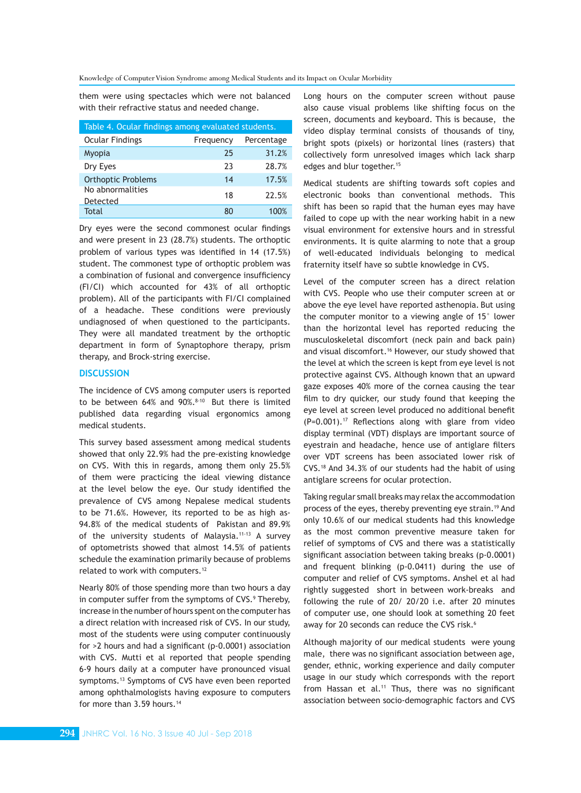them were using spectacles which were not balanced with their refractive status and needed change.

| Table 4. Ocular findings among evaluated students. |           |            |  |
|----------------------------------------------------|-----------|------------|--|
| <b>Ocular Findings</b>                             | Frequency | Percentage |  |
| Myopia                                             | 25        | 31.2%      |  |
| Dry Eyes                                           | 23        | 28.7%      |  |
| <b>Orthoptic Problems</b>                          | 14        | 17.5%      |  |
| No abnormalities<br>Detected                       | 18        | 22.5%      |  |
| Total                                              | ጸበ        | 100%       |  |

Dry eyes were the second commonest ocular findings and were present in 23 (28.7%) students. The orthoptic problem of various types was identified in 14 (17.5%) student. The commonest type of orthoptic problem was a combination of fusional and convergence insufficiency (FI/CI) which accounted for 43% of all orthoptic problem). All of the participants with FI/CI complained of a headache. These conditions were previously undiagnosed of when questioned to the participants. They were all mandated treatment by the orthoptic department in form of Synaptophore therapy, prism therapy, and Brock-string exercise.

### **DISCUSSION**

The incidence of CVS among computer users is reported to be between 64% and 90%.<sup>8-10</sup> But there is limited published data regarding visual ergonomics among medical students.

This survey based assessment among medical students showed that only 22.9% had the pre-existing knowledge on CVS. With this in regards, among them only 25.5% of them were practicing the ideal viewing distance at the level below the eye. Our study identified the prevalence of CVS among Nepalese medical students to be 71.6%. However, its reported to be as high as-94.8% of the medical students of Pakistan and 89.9% of the university students of Malaysia.<sup>11-13</sup> A survey of optometrists showed that almost 14.5% of patients schedule the examination primarily because of problems related to work with computers.<sup>12</sup>

Nearly 80% of those spending more than two hours a day in computer suffer from the symptoms of CVS.<sup>9</sup> Thereby, increase in the number of hours spent on the computer has a direct relation with increased risk of CVS. In our study, most of the students were using computer continuously for >2 hours and had a significant (p-0.0001) association with CVS. Mutti et al reported that people spending 6-9 hours daily at a computer have pronounced visual symptoms.13 Symptoms of CVS have even been reported among ophthalmologists having exposure to computers for more than 3.59 hours.<sup>14</sup>

Long hours on the computer screen without pause also cause visual problems like shifting focus on the screen, documents and keyboard. This is because, the video display terminal consists of thousands of tiny, bright spots (pixels) or horizontal lines (rasters) that collectively form unresolved images which lack sharp edges and blur together.<sup>15</sup>

Medical students are shifting towards soft copies and electronic books than conventional methods. This shift has been so rapid that the human eyes may have failed to cope up with the near working habit in a new visual environment for extensive hours and in stressful environments. It is quite alarming to note that a group of well-educated individuals belonging to medical fraternity itself have so subtle knowledge in CVS.

Level of the computer screen has a direct relation with CVS. People who use their computer screen at or above the eye level have reported asthenopia. But using the computer monitor to a viewing angle of 15° lower than the horizontal level has reported reducing the musculoskeletal discomfort (neck pain and back pain) and visual discomfort.<sup>16</sup> However, our study showed that the level at which the screen is kept from eye level is not protective against CVS. Although known that an upward gaze exposes 40% more of the cornea causing the tear film to dry quicker, our study found that keeping the eye level at screen level produced no additional benefit  $(P=0.001).$ <sup>17</sup> Reflections along with glare from video display terminal (VDT) displays are important source of eyestrain and headache, hence use of antiglare filters over VDT screens has been associated lower risk of CVS.18 And 34.3% of our students had the habit of using antiglare screens for ocular protection.

Taking regular small breaks may relax the accommodation process of the eyes, thereby preventing eye strain.<sup>19</sup> And only 10.6% of our medical students had this knowledge as the most common preventive measure taken for relief of symptoms of CVS and there was a statistically significant association between taking breaks (p-0.0001) and frequent blinking (p-0.0411) during the use of computer and relief of CVS symptoms. Anshel et al had rightly suggested short in between work-breaks and following the rule of 20/ 20/20 i.e. after 20 minutes of computer use, one should look at something 20 feet away for 20 seconds can reduce the CVS risk.<sup>6</sup>

Although majority of our medical students were young male, there was no significant association between age, gender, ethnic, working experience and daily computer usage in our study which corresponds with the report from Hassan et al.<sup>11</sup> Thus, there was no significant association between socio-demographic factors and CVS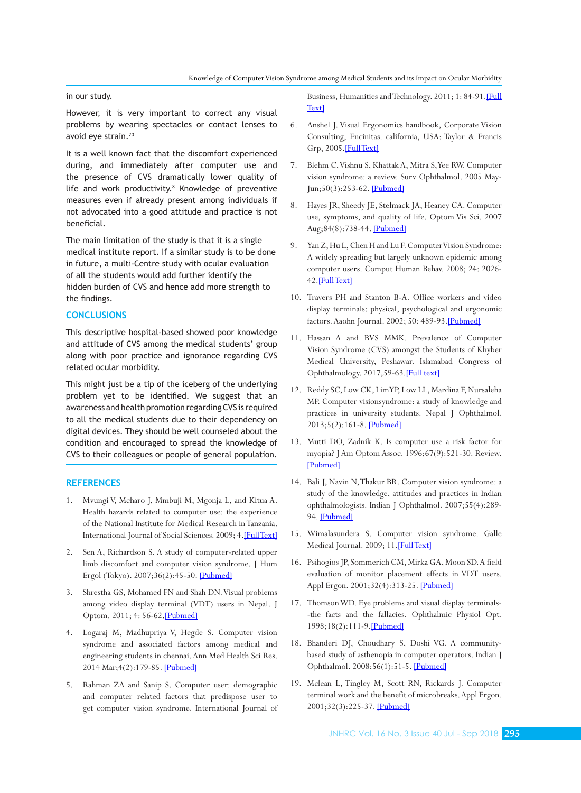#### in our study.

However, it is very important to correct any visual problems by wearing spectacles or contact lenses to avoid eye strain.<sup>20</sup>

It is a well known fact that the discomfort experienced during, and immediately after computer use and the presence of CVS dramatically lower quality of life and work productivity.<sup>8</sup> Knowledge of preventive measures even if already present among individuals if not advocated into a good attitude and practice is not beneficial.

The main limitation of the study is that it is a single medical institute report. If a similar study is to be done in future, a multi-Centre study with ocular evaluation of all the students would add further identify the hidden burden of CVS and hence add more strength to the findings.

## **CONCLUSIONS**

This descriptive hospital-based showed poor knowledge and attitude of CVS among the medical students' group along with poor practice and ignorance regarding CVS related ocular morbidity.

This might just be a tip of the iceberg of the underlying problem yet to be identified. We suggest that an awareness and health promotion regarding CVS is required to all the medical students due to their dependency on digital devices. They should be well counseled about the condition and encouraged to spread the knowledge of CVS to their colleagues or people of general population.

#### **REFERENCES**

- 1. Mvungi V, Mcharo J, Mmbuji M, Mgonja L, and Kitua A. Health hazards related to computer use: the experience of the National Institute for Medical Research in Tanzania. International Journal of Social Sciences. 2009; 4.[Full Text]
- 2. Sen A, Richardson S. A study of computer-related upper limb discomfort and computer vision syndrome. J Hum Ergol (Tokyo). 2007;36(2):45-50. [Pubmed]
- 3. Shrestha GS, Mohamed FN and Shah DN. Visual problems among video display terminal (VDT) users in Nepal. J Optom. 2011; 4: 56-62.[Pubmed]
- 4. Logaraj M, Madhupriya V, Hegde S. Computer vision syndrome and associated factors among medical and engineering students in chennai. Ann Med Health Sci Res. 2014 Mar;4(2):179-85. [Pubmed]
- 5. Rahman ZA and Sanip S. Computer user: demographic and computer related factors that predispose user to get computer vision syndrome. International Journal of

Business, Humanities and Technology. 2011; 1: 84-91.[Full Text]

- 6. Anshel J. Visual Ergonomics handbook, Corporate Vision Consulting, Encinitas. california, USA: Taylor & Francis Grp, 2005.[Full Text]
- 7. Blehm C, Vishnu S, Khattak A, Mitra S, Yee RW. Computer vision syndrome: a review. Surv Ophthalmol. 2005 May-Jun;50(3):253-62. [Pubmed]
- 8. Hayes JR, Sheedy JE, Stelmack JA, Heaney CA. Computer use, symptoms, and quality of life. Optom Vis Sci. 2007 Aug;84(8):738-44. [Pubmed]
- 9. Yan Z, Hu L, Chen H and Lu F. Computer Vision Syndrome: A widely spreading but largely unknown epidemic among computer users. Comput Human Behav. 2008; 24: 2026- 42.[Full Text]
- 10. Travers PH and Stanton B-A. Office workers and video display terminals: physical, psychological and ergonomic factors. Aaohn Journal. 2002; 50: 489-93.[Pubmed]
- 11. Hassan A and BVS MMK. Prevalence of Computer Vision Syndrome (CVS) amongst the Students of Khyber Medical University, Peshawar. Islamabad Congress of Ophthalmology. 2017,59-63.[Full text]
- 12. Reddy SC, Low CK, Lim YP, Low LL, Mardina F, Nursaleha MP. Computer visionsyndrome: a study of knowledge and practices in university students. Nepal J Ophthalmol. 2013;5(2):161-8. [Pubmed]
- 13. Mutti DO, Zadnik K. Is computer use a risk factor for myopia? J Am Optom Assoc. 1996;67(9):521-30. Review. [Pubmed]
- 14. Bali J, Navin N, Thakur BR. Computer vision syndrome: a study of the knowledge, attitudes and practices in Indian ophthalmologists. Indian J Ophthalmol. 2007;55(4):289- 94. [Pubmed]
- 15. Wimalasundera S. Computer vision syndrome. Galle Medical Journal. 2009; 11.[FullText]
- 16. Psihogios JP, Sommerich CM, Mirka GA, Moon SD. A field evaluation of monitor placement effects in VDT users. Appl Ergon. 2001;32(4):313-25. [Pubmed]
- 17. Thomson WD. Eye problems and visual display terminals- -the facts and the fallacies. Ophthalmic Physiol Opt. 1998;18(2):111-9.[Pubmed]
- 18. Bhanderi DJ, Choudhary S, Doshi VG. A communitybased study of asthenopia in computer operators. Indian J Ophthalmol. 2008;56(1):51-5. [Pubmed]
- 19. Mclean L, Tingley M, Scott RN, Rickards J. Computer terminal work and the benefit of microbreaks. Appl Ergon. 2001;32(3):225-37. [Pubmed]